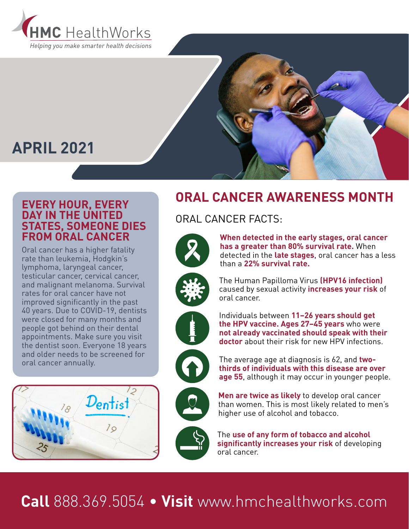



#### **EVERY HOUR, EVERY DAY IN THE UNITED STATES, SOMEONE DIES FROM ORAL CANCER**

Oral cancer has a higher fatality rate than leukemia, Hodgkin's lymphoma, laryngeal cancer, testicular cancer, cervical cancer, and malignant melanoma. Survival rates for oral cancer have not improved significantly in the past 40 years. Due to COVID-19, dentists were closed for many months and people got behind on their dental appointments. Make sure you visit the dentist soon. Everyone 18 years and older needs to be screened for oral cancer annually.



## **ORAL CANCER AWARENESS MONTH**

### ORAL CANCER FACTS:



**When detected in the early stages, oral cancer has a greater than 80% survival rate.** When detected in the **late stages**, oral cancer has a less than a **22% survival rate.**





Individuals between **11–26 years should get the HPV vaccine. Ages 27–45 years** who were **not already vaccinated should speak with their doctor** about their risk for new HPV infections.



The average age at diagnosis is 62, and **twothirds of individuals with this disease are over age 55**, although it may occur in younger people.

**Men are twice as likely** to develop oral cancer than women. This is most likely related to men's higher use of alcohol and tobacco.

The **use of any form of tobacco and alcohol significantly increases your risk** of developing oral cancer.

# **Call** 888.369.5054 • **Visit** www.hmchealthworks.com